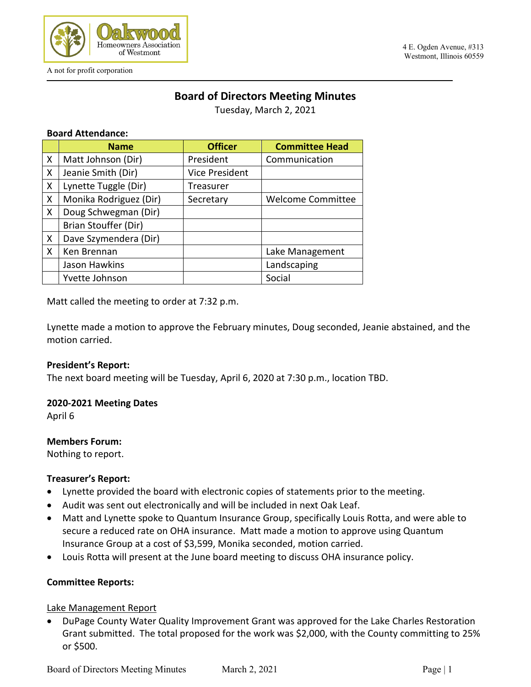

# **Board of Directors Meeting Minutes**

Tuesday, March 2, 2021

#### **Board Attendance:**

|   | <b>Name</b>            | <b>Officer</b>        | <b>Committee Head</b>    |
|---|------------------------|-----------------------|--------------------------|
| X | Matt Johnson (Dir)     | President             | Communication            |
| X | Jeanie Smith (Dir)     | <b>Vice President</b> |                          |
| X | Lynette Tuggle (Dir)   | Treasurer             |                          |
| X | Monika Rodriguez (Dir) | Secretary             | <b>Welcome Committee</b> |
| X | Doug Schwegman (Dir)   |                       |                          |
|   | Brian Stouffer (Dir)   |                       |                          |
| X | Dave Szymendera (Dir)  |                       |                          |
| X | Ken Brennan            |                       | Lake Management          |
|   | Jason Hawkins          |                       | Landscaping              |
|   | Yvette Johnson         |                       | Social                   |

Matt called the meeting to order at 7:32 p.m.

Lynette made a motion to approve the February minutes, Doug seconded, Jeanie abstained, and the motion carried.

#### **President's Report:**

The next board meeting will be Tuesday, April 6, 2020 at 7:30 p.m., location TBD.

#### **2020-2021 Meeting Dates**

April 6

#### **Members Forum:**

Nothing to report.

#### **Treasurer's Report:**

- Lynette provided the board with electronic copies of statements prior to the meeting.
- Audit was sent out electronically and will be included in next Oak Leaf.
- Matt and Lynette spoke to Quantum Insurance Group, specifically Louis Rotta, and were able to secure a reduced rate on OHA insurance. Matt made a motion to approve using Quantum Insurance Group at a cost of \$3,599, Monika seconded, motion carried.
- Louis Rotta will present at the June board meeting to discuss OHA insurance policy.

#### **Committee Reports:**

#### Lake Management Report

• DuPage County Water Quality Improvement Grant was approved for the Lake Charles Restoration Grant submitted. The total proposed for the work was \$2,000, with the County committing to 25% or \$500.